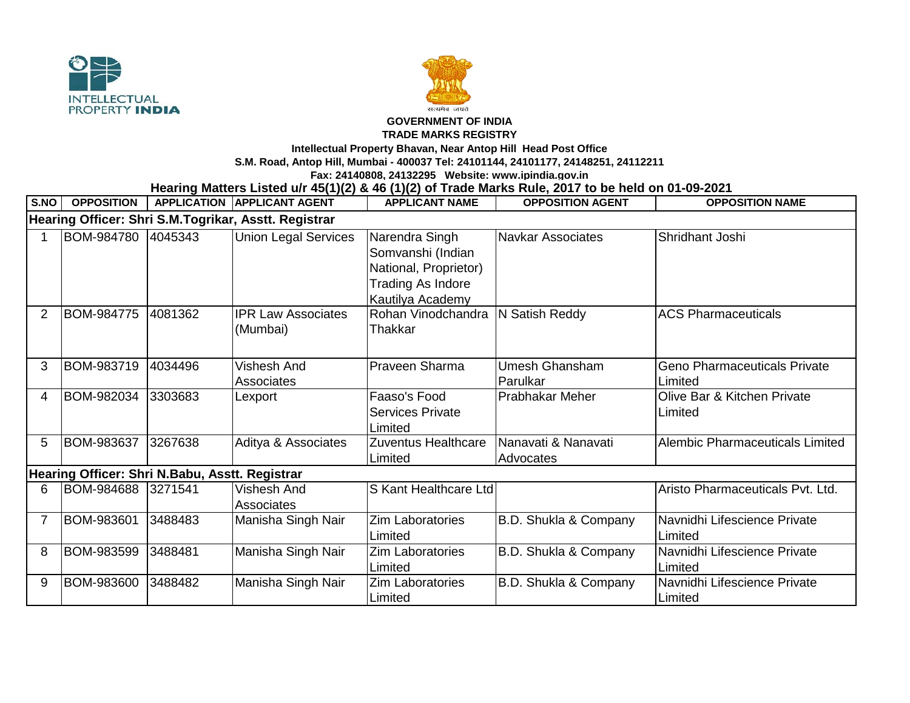



## **GOVERNMENT OF INDIA**

## **TRADE MARKS REGISTRY**

**Intellectual Property Bhavan, Near Antop Hill Head Post Office**

**S.M. Road, Antop Hill, Mumbai - 400037 Tel: 24101144, 24101177, 24148251, 24112211**

**Fax: 24140808, 24132295 Website: www.ipindia.gov.in**

## **Hearing Matters Listed u/r 45(1)(2) & 46 (1)(2) of Trade Marks Rule, 2017 to be held on 01-09-2021**

| S.NO                                                 | <b>OPPOSITION</b> |         | <b>APPLICATION APPLICANT AGENT</b>      | <b>APPLICANT NAME</b>                                                                                        | <b>OPPOSITION AGENT</b>          | <b>OPPOSITION NAME</b>                         |  |  |  |  |  |
|------------------------------------------------------|-------------------|---------|-----------------------------------------|--------------------------------------------------------------------------------------------------------------|----------------------------------|------------------------------------------------|--|--|--|--|--|
| Hearing Officer: Shri S.M.Togrikar, Asstt. Registrar |                   |         |                                         |                                                                                                              |                                  |                                                |  |  |  |  |  |
|                                                      | BOM-984780        | 4045343 | <b>Union Legal Services</b>             | Narendra Singh<br>Somvanshi (Indian<br>National, Proprietor)<br><b>Trading As Indore</b><br>Kautilya Academy | <b>Navkar Associates</b>         | Shridhant Joshi                                |  |  |  |  |  |
|                                                      | BOM-984775        | 4081362 | <b>IPR Law Associates</b><br>(Mumbai)   | Rohan Vinodchandra<br>Thakkar                                                                                | N Satish Reddy                   | <b>ACS Pharmaceuticals</b>                     |  |  |  |  |  |
| 3                                                    | BOM-983719        | 4034496 | <b>Vishesh And</b><br><b>Associates</b> | Praveen Sharma                                                                                               | Umesh Ghansham<br>Parulkar       | <b>Geno Pharmaceuticals Private</b><br>Limited |  |  |  |  |  |
| 4                                                    | BOM-982034        | 3303683 | Lexport                                 | Faaso's Food<br><b>Services Private</b><br>Limited                                                           | <b>Prabhakar Meher</b>           | Olive Bar & Kitchen Private<br>Limited         |  |  |  |  |  |
| 5                                                    | BOM-983637        | 3267638 | Aditya & Associates                     | Zuventus Healthcare<br>Limited                                                                               | Nanavati & Nanavati<br>Advocates | Alembic Pharmaceuticals Limited                |  |  |  |  |  |
| Hearing Officer: Shri N.Babu, Asstt. Registrar       |                   |         |                                         |                                                                                                              |                                  |                                                |  |  |  |  |  |
| 6                                                    | BOM-984688        | 3271541 | <b>Vishesh And</b><br><b>Associates</b> | S Kant Healthcare Ltd                                                                                        |                                  | Aristo Pharmaceuticals Pvt. Ltd.               |  |  |  |  |  |
|                                                      | BOM-983601        | 3488483 | Manisha Singh Nair                      | Zim Laboratories<br>Limited                                                                                  | B.D. Shukla & Company            | Navnidhi Lifescience Private<br>Limited        |  |  |  |  |  |
| 8                                                    | BOM-983599        | 3488481 | Manisha Singh Nair                      | <b>Zim Laboratories</b><br>Limited                                                                           | B.D. Shukla & Company            | Navnidhi Lifescience Private<br>Limited        |  |  |  |  |  |
| 9                                                    | BOM-983600        | 3488482 | Manisha Singh Nair                      | <b>Zim Laboratories</b><br>Limited                                                                           | B.D. Shukla & Company            | Navnidhi Lifescience Private<br>Limited        |  |  |  |  |  |